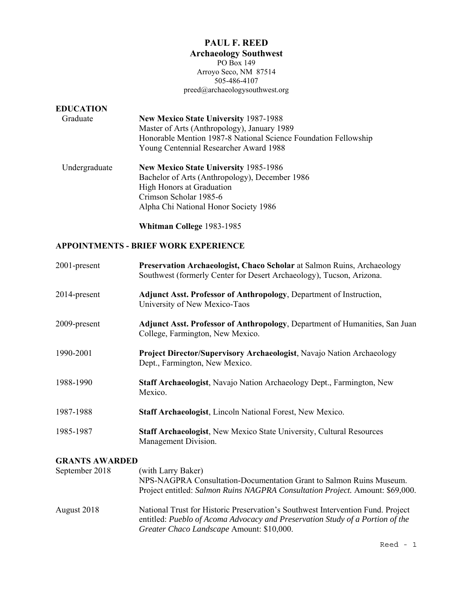# **PAUL F. REED**

**Archaeology Southwest**  PO Box 149

Arroyo Seco, NM 87514 505-486-4107 preed@archaeologysouthwest.org

# **EDUCATION**

- Graduate **New Mexico State University** 1987-1988 Master of Arts (Anthropology), January 1989 Honorable Mention 1987-8 National Science Foundation Fellowship Young Centennial Researcher Award 1988
- Undergraduate **New Mexico State University** 1985-1986 Bachelor of Arts (Anthropology), December 1986 High Honors at Graduation Crimson Scholar 1985-6 Alpha Chi National Honor Society 1986

**Whitman College** 1983-1985

### **APPOINTMENTS - BRIEF WORK EXPERIENCE**

| 2001-present          | Preservation Archaeologist, Chaco Scholar at Salmon Ruins, Archaeology<br>Southwest (formerly Center for Desert Archaeology), Tucson, Arizona.                                                                |
|-----------------------|---------------------------------------------------------------------------------------------------------------------------------------------------------------------------------------------------------------|
| 2014-present          | Adjunct Asst. Professor of Anthropology, Department of Instruction,<br>University of New Mexico-Taos                                                                                                          |
| 2009-present          | Adjunct Asst. Professor of Anthropology, Department of Humanities, San Juan<br>College, Farmington, New Mexico.                                                                                               |
| 1990-2001             | Project Director/Supervisory Archaeologist, Navajo Nation Archaeology<br>Dept., Farmington, New Mexico.                                                                                                       |
| 1988-1990             | Staff Archaeologist, Navajo Nation Archaeology Dept., Farmington, New<br>Mexico.                                                                                                                              |
| 1987-1988             | Staff Archaeologist, Lincoln National Forest, New Mexico.                                                                                                                                                     |
| 1985-1987             | Staff Archaeologist, New Mexico State University, Cultural Resources<br>Management Division.                                                                                                                  |
| <b>GRANTS AWARDED</b> |                                                                                                                                                                                                               |
| September 2018        | (with Larry Baker)<br>NPS-NAGPRA Consultation-Documentation Grant to Salmon Ruins Museum.<br>Project entitled: Salmon Ruins NAGPRA Consultation Project. Amount: \$69,000.                                    |
| August 2018           | National Trust for Historic Preservation's Southwest Intervention Fund. Project<br>entitled: Pueblo of Acoma Advocacy and Preservation Study of a Portion of the<br>Greater Chaco Landscape Amount: \$10,000. |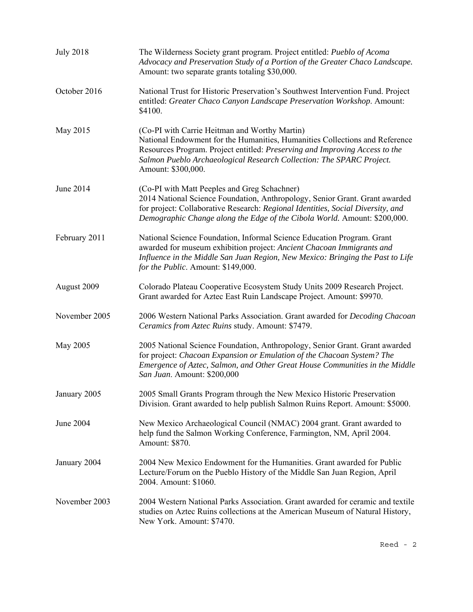| <b>July 2018</b> | The Wilderness Society grant program. Project entitled: Pueblo of Acoma<br>Advocacy and Preservation Study of a Portion of the Greater Chaco Landscape.<br>Amount: two separate grants totaling \$30,000.                                                                                                 |
|------------------|-----------------------------------------------------------------------------------------------------------------------------------------------------------------------------------------------------------------------------------------------------------------------------------------------------------|
| October 2016     | National Trust for Historic Preservation's Southwest Intervention Fund. Project<br>entitled: Greater Chaco Canyon Landscape Preservation Workshop. Amount:<br>\$4100.                                                                                                                                     |
| May 2015         | (Co-PI with Carrie Heitman and Worthy Martin)<br>National Endowment for the Humanities, Humanities Collections and Reference<br>Resources Program. Project entitled: Preserving and Improving Access to the<br>Salmon Pueblo Archaeological Research Collection: The SPARC Project.<br>Amount: \$300,000. |
| June 2014        | (Co-PI with Matt Peeples and Greg Schachner)<br>2014 National Science Foundation, Anthropology, Senior Grant. Grant awarded<br>for project: Collaborative Research: Regional Identities, Social Diversity, and<br>Demographic Change along the Edge of the Cibola World. Amount: \$200,000.               |
| February 2011    | National Science Foundation, Informal Science Education Program. Grant<br>awarded for museum exhibition project: Ancient Chacoan Immigrants and<br>Influence in the Middle San Juan Region, New Mexico: Bringing the Past to Life<br>for the Public. Amount: \$149,000.                                   |
| August 2009      | Colorado Plateau Cooperative Ecosystem Study Units 2009 Research Project.<br>Grant awarded for Aztec East Ruin Landscape Project. Amount: \$9970.                                                                                                                                                         |
| November 2005    | 2006 Western National Parks Association. Grant awarded for Decoding Chacoan<br>Ceramics from Aztec Ruins study. Amount: \$7479.                                                                                                                                                                           |
| May 2005         | 2005 National Science Foundation, Anthropology, Senior Grant. Grant awarded<br>for project: Chacoan Expansion or Emulation of the Chacoan System? The<br>Emergence of Aztec, Salmon, and Other Great House Communities in the Middle<br>San Juan. Amount: \$200,000                                       |
| January 2005     | 2005 Small Grants Program through the New Mexico Historic Preservation<br>Division. Grant awarded to help publish Salmon Ruins Report. Amount: \$5000.                                                                                                                                                    |
| June 2004        | New Mexico Archaeological Council (NMAC) 2004 grant. Grant awarded to<br>help fund the Salmon Working Conference, Farmington, NM, April 2004.<br>Amount: \$870.                                                                                                                                           |
| January 2004     | 2004 New Mexico Endowment for the Humanities. Grant awarded for Public<br>Lecture/Forum on the Pueblo History of the Middle San Juan Region, April<br>2004. Amount: \$1060.                                                                                                                               |
| November 2003    | 2004 Western National Parks Association. Grant awarded for ceramic and textile<br>studies on Aztec Ruins collections at the American Museum of Natural History,<br>New York. Amount: \$7470.                                                                                                              |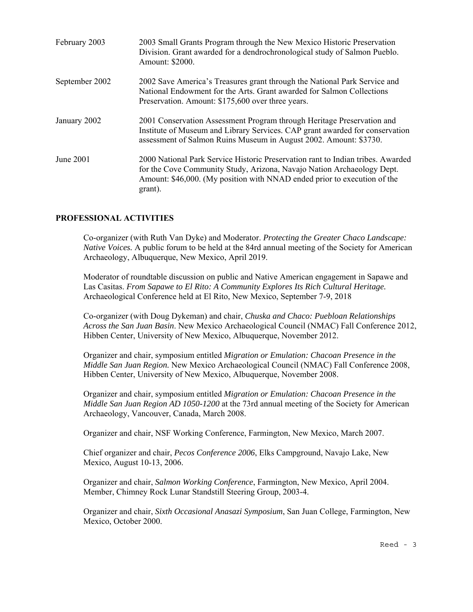| February 2003  | 2003 Small Grants Program through the New Mexico Historic Preservation<br>Division. Grant awarded for a dendrochronological study of Salmon Pueblo.<br>Amount: \$2000.                                                                           |
|----------------|--------------------------------------------------------------------------------------------------------------------------------------------------------------------------------------------------------------------------------------------------|
| September 2002 | 2002 Save America's Treasures grant through the National Park Service and<br>National Endowment for the Arts. Grant awarded for Salmon Collections<br>Preservation. Amount: \$175,600 over three years.                                          |
| January 2002   | 2001 Conservation Assessment Program through Heritage Preservation and<br>Institute of Museum and Library Services. CAP grant awarded for conservation<br>assessment of Salmon Ruins Museum in August 2002. Amount: \$3730.                      |
| June 2001      | 2000 National Park Service Historic Preservation rant to Indian tribes. Awarded<br>for the Cove Community Study, Arizona, Navajo Nation Archaeology Dept.<br>Amount: \$46,000. (My position with NNAD ended prior to execution of the<br>grant). |

### **PROFESSIONAL ACTIVITIES**

Co-organizer (with Ruth Van Dyke) and Moderator. *Protecting the Greater Chaco Landscape: Native Voices.* A public forum to be held at the 84rd annual meeting of the Society for American Archaeology, Albuquerque, New Mexico, April 2019.

Moderator of roundtable discussion on public and Native American engagement in Sapawe and Las Casitas. *From Sapawe to El Rito: A Community Explores Its Rich Cultural Heritage.*  Archaeological Conference held at El Rito, New Mexico, September 7-9, 2018

Co-organizer (with Doug Dykeman) and chair, *Chuska and Chaco: Puebloan Relationships Across the San Juan Basin*. New Mexico Archaeological Council (NMAC) Fall Conference 2012, Hibben Center, University of New Mexico, Albuquerque, November 2012.

Organizer and chair, symposium entitled *Migration or Emulation: Chacoan Presence in the Middle San Juan Region.* New Mexico Archaeological Council (NMAC) Fall Conference 2008, Hibben Center, University of New Mexico, Albuquerque, November 2008.

Organizer and chair, symposium entitled *Migration or Emulation: Chacoan Presence in the Middle San Juan Region AD 1050-1200* at the 73rd annual meeting of the Society for American Archaeology, Vancouver, Canada, March 2008.

Organizer and chair, NSF Working Conference, Farmington, New Mexico, March 2007.

Chief organizer and chair, *Pecos Conference 2006*, Elks Campground, Navajo Lake, New Mexico, August 10-13, 2006.

Organizer and chair, *Salmon Working Conference*, Farmington, New Mexico, April 2004. Member, Chimney Rock Lunar Standstill Steering Group, 2003-4.

Organizer and chair, *Sixth Occasional Anasazi Symposium*, San Juan College, Farmington, New Mexico, October 2000.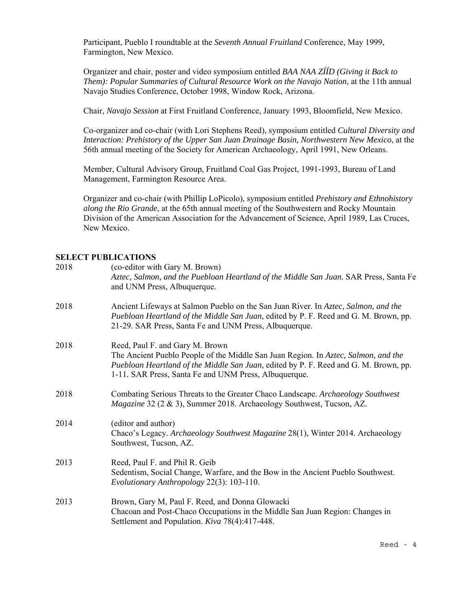Participant, Pueblo I roundtable at the *Seventh Annual Fruitland* Conference, May 1999, Farmington, New Mexico.

Organizer and chair, poster and video symposium entitled *BAA NAA ZÍÍD (Giving it Back to Them): Popular Summaries of Cultural Resource Work on the Navajo Nation*, at the 11th annual Navajo Studies Conference, October 1998, Window Rock, Arizona.

Chair, *Navajo Session* at First Fruitland Conference, January 1993, Bloomfield, New Mexico.

Co-organizer and co-chair (with Lori Stephens Reed), symposium entitled *Cultural Diversity and Interaction: Prehistory of the Upper San Juan Drainage Basin, Northwestern New Mexico*, at the 56th annual meeting of the Society for American Archaeology, April 1991, New Orleans.

Member, Cultural Advisory Group, Fruitland Coal Gas Project, 1991-1993, Bureau of Land Management, Farmington Resource Area.

Organizer and co-chair (with Phillip LoPicolo), symposium entitled *Prehistory and Ethnohistory along the Rio Grande*, at the 65th annual meeting of the Southwestern and Rocky Mountain Division of the American Association for the Advancement of Science, April 1989, Las Cruces, New Mexico.

#### **SELECT PUBLICATIONS**

| 2018 | (co-editor with Gary M. Brown)<br>Aztec, Salmon, and the Puebloan Heartland of the Middle San Juan. SAR Press, Santa Fe<br>and UNM Press, Albuquerque.                                                                                                                 |
|------|------------------------------------------------------------------------------------------------------------------------------------------------------------------------------------------------------------------------------------------------------------------------|
| 2018 | Ancient Lifeways at Salmon Pueblo on the San Juan River. In Aztec, Salmon, and the<br>Puebloan Heartland of the Middle San Juan, edited by P. F. Reed and G. M. Brown, pp.<br>21-29. SAR Press, Santa Fe and UNM Press, Albuquerque.                                   |
| 2018 | Reed, Paul F. and Gary M. Brown<br>The Ancient Pueblo People of the Middle San Juan Region. In Aztec, Salmon, and the<br>Puebloan Heartland of the Middle San Juan, edited by P. F. Reed and G. M. Brown, pp.<br>1-11. SAR Press, Santa Fe and UNM Press, Albuquerque. |
| 2018 | Combating Serious Threats to the Greater Chaco Landscape. Archaeology Southwest<br>Magazine 32 (2 & 3), Summer 2018. Archaeology Southwest, Tucson, AZ.                                                                                                                |
| 2014 | (editor and author)<br>Chaco's Legacy. Archaeology Southwest Magazine 28(1), Winter 2014. Archaeology<br>Southwest, Tucson, AZ.                                                                                                                                        |
| 2013 | Reed, Paul F. and Phil R. Geib<br>Sedentism, Social Change, Warfare, and the Bow in the Ancient Pueblo Southwest.<br>Evolutionary Anthropology 22(3): 103-110.                                                                                                         |
| 2013 | Brown, Gary M, Paul F. Reed, and Donna Glowacki<br>Chacoan and Post-Chaco Occupations in the Middle San Juan Region: Changes in<br>Settlement and Population. Kiva 78(4):417-448.                                                                                      |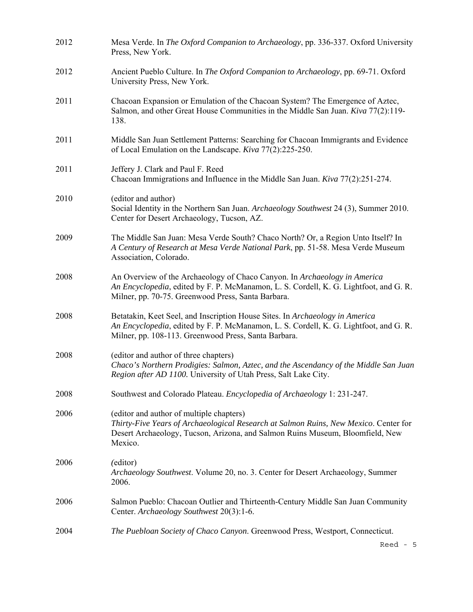| 2012 | Mesa Verde. In The Oxford Companion to Archaeology, pp. 336-337. Oxford University<br>Press, New York.                                                                                                                        |
|------|-------------------------------------------------------------------------------------------------------------------------------------------------------------------------------------------------------------------------------|
| 2012 | Ancient Pueblo Culture. In The Oxford Companion to Archaeology, pp. 69-71. Oxford<br>University Press, New York.                                                                                                              |
| 2011 | Chacoan Expansion or Emulation of the Chacoan System? The Emergence of Aztec,<br>Salmon, and other Great House Communities in the Middle San Juan. Kiva 77(2):119-<br>138.                                                    |
| 2011 | Middle San Juan Settlement Patterns: Searching for Chacoan Immigrants and Evidence<br>of Local Emulation on the Landscape. Kiva 77(2):225-250.                                                                                |
| 2011 | Jeffery J. Clark and Paul F. Reed<br>Chacoan Immigrations and Influence in the Middle San Juan. Kiva 77(2):251-274.                                                                                                           |
| 2010 | (editor and author)<br>Social Identity in the Northern San Juan. Archaeology Southwest 24 (3), Summer 2010.<br>Center for Desert Archaeology, Tucson, AZ.                                                                     |
| 2009 | The Middle San Juan: Mesa Verde South? Chaco North? Or, a Region Unto Itself? In<br>A Century of Research at Mesa Verde National Park, pp. 51-58. Mesa Verde Museum<br>Association, Colorado.                                 |
| 2008 | An Overview of the Archaeology of Chaco Canyon. In Archaeology in America<br>An Encyclopedia, edited by F. P. McManamon, L. S. Cordell, K. G. Lightfoot, and G. R.<br>Milner, pp. 70-75. Greenwood Press, Santa Barbara.      |
| 2008 | Betatakin, Keet Seel, and Inscription House Sites. In Archaeology in America<br>An Encyclopedia, edited by F. P. McManamon, L. S. Cordell, K. G. Lightfoot, and G. R.<br>Milner, pp. 108-113. Greenwood Press, Santa Barbara. |
| 2008 | (editor and author of three chapters)<br>Chaco's Northern Prodigies: Salmon, Aztec, and the Ascendancy of the Middle San Juan<br>Region after AD 1100. University of Utah Press, Salt Lake City.                              |
| 2008 | Southwest and Colorado Plateau. Encyclopedia of Archaeology 1: 231-247.                                                                                                                                                       |
| 2006 | (editor and author of multiple chapters)<br>Thirty-Five Years of Archaeological Research at Salmon Ruins, New Mexico. Center for<br>Desert Archaeology, Tucson, Arizona, and Salmon Ruins Museum, Bloomfield, New<br>Mexico.  |
| 2006 | (editor)<br>Archaeology Southwest. Volume 20, no. 3. Center for Desert Archaeology, Summer<br>2006.                                                                                                                           |
| 2006 | Salmon Pueblo: Chacoan Outlier and Thirteenth-Century Middle San Juan Community<br>Center. Archaeology Southwest 20(3):1-6.                                                                                                   |
| 2004 | The Puebloan Society of Chaco Canyon. Greenwood Press, Westport, Connecticut.                                                                                                                                                 |
|      | $\text{Red}$ - 5                                                                                                                                                                                                              |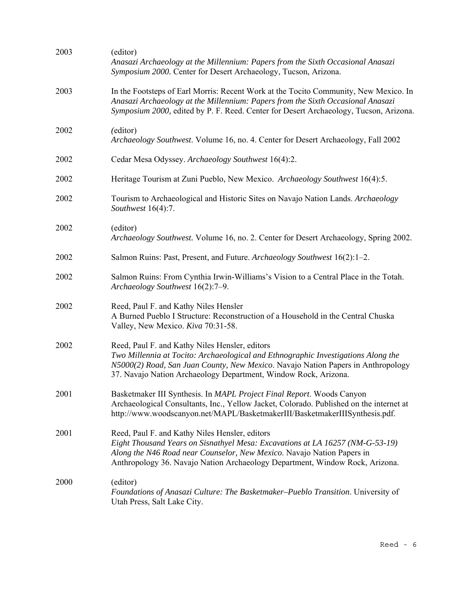| 2003 | (editor)<br>Anasazi Archaeology at the Millennium: Papers from the Sixth Occasional Anasazi<br>Symposium 2000. Center for Desert Archaeology, Tucson, Arizona.                                                                                                                             |
|------|--------------------------------------------------------------------------------------------------------------------------------------------------------------------------------------------------------------------------------------------------------------------------------------------|
| 2003 | In the Footsteps of Earl Morris: Recent Work at the Tocito Community, New Mexico. In<br>Anasazi Archaeology at the Millennium: Papers from the Sixth Occasional Anasazi<br>Symposium 2000, edited by P. F. Reed. Center for Desert Archaeology, Tucson, Arizona.                           |
| 2002 | (editor)<br>Archaeology Southwest. Volume 16, no. 4. Center for Desert Archaeology, Fall 2002                                                                                                                                                                                              |
| 2002 | Cedar Mesa Odyssey. Archaeology Southwest 16(4):2.                                                                                                                                                                                                                                         |
| 2002 | Heritage Tourism at Zuni Pueblo, New Mexico. Archaeology Southwest 16(4):5.                                                                                                                                                                                                                |
| 2002 | Tourism to Archaeological and Historic Sites on Navajo Nation Lands. Archaeology<br>Southwest 16(4):7.                                                                                                                                                                                     |
| 2002 | (editor)<br>Archaeology Southwest. Volume 16, no. 2. Center for Desert Archaeology, Spring 2002.                                                                                                                                                                                           |
| 2002 | Salmon Ruins: Past, Present, and Future. Archaeology Southwest 16(2):1-2.                                                                                                                                                                                                                  |
| 2002 | Salmon Ruins: From Cynthia Irwin-Williams's Vision to a Central Place in the Totah.<br>Archaeology Southwest 16(2):7-9.                                                                                                                                                                    |
| 2002 | Reed, Paul F. and Kathy Niles Hensler<br>A Burned Pueblo I Structure: Reconstruction of a Household in the Central Chuska<br>Valley, New Mexico. Kiva 70:31-58.                                                                                                                            |
| 2002 | Reed, Paul F. and Kathy Niles Hensler, editors<br>Two Millennia at Tocito: Archaeological and Ethnographic Investigations Along the<br>N5000(2) Road, San Juan County, New Mexico. Navajo Nation Papers in Anthropology<br>37. Navajo Nation Archaeology Department, Window Rock, Arizona. |
| 2001 | Basketmaker III Synthesis. In MAPL Project Final Report. Woods Canyon<br>Archaeological Consultants, Inc., Yellow Jacket, Colorado. Published on the internet at<br>http://www.woodscanyon.net/MAPL/BasketmakerIII/BasketmakerIIISynthesis.pdf.                                            |
| 2001 | Reed, Paul F. and Kathy Niles Hensler, editors<br>Eight Thousand Years on Sisnathyel Mesa: Excavations at LA 16257 (NM-G-53-19)<br>Along the N46 Road near Counselor, New Mexico. Navajo Nation Papers in<br>Anthropology 36. Navajo Nation Archaeology Department, Window Rock, Arizona.  |
| 2000 | (editor)<br>Foundations of Anasazi Culture: The Basketmaker-Pueblo Transition. University of<br>Utah Press, Salt Lake City.                                                                                                                                                                |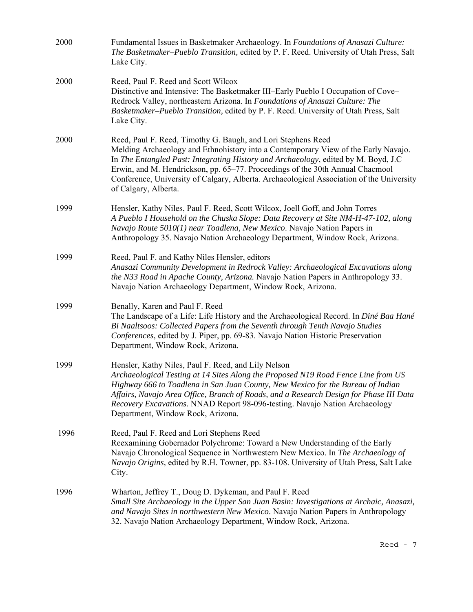| 2000 | Fundamental Issues in Basketmaker Archaeology. In Foundations of Anasazi Culture:<br>The Basketmaker-Pueblo Transition, edited by P. F. Reed. University of Utah Press, Salt<br>Lake City.                                                                                                                                                                                                                                                    |
|------|-----------------------------------------------------------------------------------------------------------------------------------------------------------------------------------------------------------------------------------------------------------------------------------------------------------------------------------------------------------------------------------------------------------------------------------------------|
| 2000 | Reed, Paul F. Reed and Scott Wilcox<br>Distinctive and Intensive: The Basketmaker III–Early Pueblo I Occupation of Cove–<br>Redrock Valley, northeastern Arizona. In Foundations of Anasazi Culture: The<br>Basketmaker–Pueblo Transition, edited by P. F. Reed. University of Utah Press, Salt<br>Lake City.                                                                                                                                 |
| 2000 | Reed, Paul F. Reed, Timothy G. Baugh, and Lori Stephens Reed<br>Melding Archaeology and Ethnohistory into a Contemporary View of the Early Navajo.<br>In The Entangled Past: Integrating History and Archaeology, edited by M. Boyd, J.C<br>Erwin, and M. Hendrickson, pp. 65–77. Proceedings of the 30th Annual Chacmool<br>Conference, University of Calgary, Alberta. Archaeological Association of the University<br>of Calgary, Alberta. |
| 1999 | Hensler, Kathy Niles, Paul F. Reed, Scott Wilcox, Joell Goff, and John Torres<br>A Pueblo I Household on the Chuska Slope: Data Recovery at Site NM-H-47-102, along<br>Navajo Route 5010(1) near Toadlena, New Mexico. Navajo Nation Papers in<br>Anthropology 35. Navajo Nation Archaeology Department, Window Rock, Arizona.                                                                                                                |
| 1999 | Reed, Paul F. and Kathy Niles Hensler, editors<br>Anasazi Community Development in Redrock Valley: Archaeological Excavations along<br>the N33 Road in Apache County, Arizona. Navajo Nation Papers in Anthropology 33.<br>Navajo Nation Archaeology Department, Window Rock, Arizona.                                                                                                                                                        |
| 1999 | Benally, Karen and Paul F. Reed<br>The Landscape of a Life: Life History and the Archaeological Record. In Diné Baa Hané<br>Bi Naaltsoos: Collected Papers from the Seventh through Tenth Navajo Studies<br>Conferences, edited by J. Piper, pp. 69-83. Navajo Nation Historic Preservation<br>Department, Window Rock, Arizona.                                                                                                              |
| 1999 | Hensler, Kathy Niles, Paul F. Reed, and Lily Nelson<br>Archaeological Testing at 14 Sites Along the Proposed N19 Road Fence Line from US<br>Highway 666 to Toadlena in San Juan County, New Mexico for the Bureau of Indian<br>Affairs, Navajo Area Office, Branch of Roads, and a Research Design for Phase III Data<br>Recovery Excavations. NNAD Report 98-096-testing. Navajo Nation Archaeology<br>Department, Window Rock, Arizona.     |
| 1996 | Reed, Paul F. Reed and Lori Stephens Reed<br>Reexamining Gobernador Polychrome: Toward a New Understanding of the Early<br>Navajo Chronological Sequence in Northwestern New Mexico. In The Archaeology of<br><i>Navajo Origins, edited by R.H. Towner, pp. 83-108. University of Utah Press, Salt Lake</i><br>City.                                                                                                                          |
| 1996 | Wharton, Jeffrey T., Doug D. Dykeman, and Paul F. Reed<br>Small Site Archaeology in the Upper San Juan Basin: Investigations at Archaic, Anasazi,<br>and Navajo Sites in northwestern New Mexico. Navajo Nation Papers in Anthropology<br>32. Navajo Nation Archaeology Department, Window Rock, Arizona.                                                                                                                                     |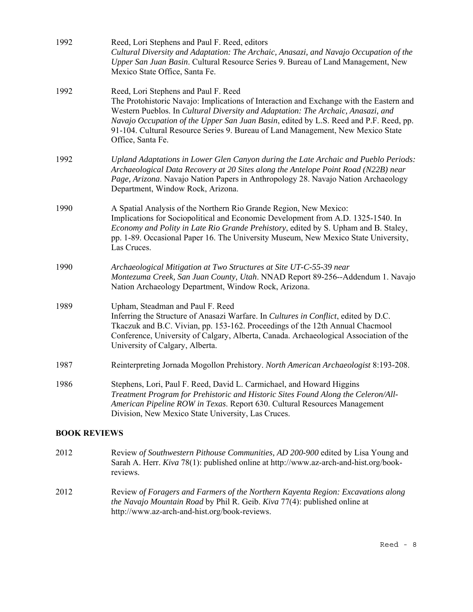| 1992                | Reed, Lori Stephens and Paul F. Reed, editors<br>Cultural Diversity and Adaptation: The Archaic, Anasazi, and Navajo Occupation of the<br>Upper San Juan Basin. Cultural Resource Series 9. Bureau of Land Management, New<br>Mexico State Office, Santa Fe.                                                                                                                                                         |
|---------------------|----------------------------------------------------------------------------------------------------------------------------------------------------------------------------------------------------------------------------------------------------------------------------------------------------------------------------------------------------------------------------------------------------------------------|
| 1992                | Reed, Lori Stephens and Paul F. Reed<br>The Protohistoric Navajo: Implications of Interaction and Exchange with the Eastern and<br>Western Pueblos. In Cultural Diversity and Adaptation: The Archaic, Anasazi, and<br>Navajo Occupation of the Upper San Juan Basin, edited by L.S. Reed and P.F. Reed, pp.<br>91-104. Cultural Resource Series 9. Bureau of Land Management, New Mexico State<br>Office, Santa Fe. |
| 1992                | Upland Adaptations in Lower Glen Canyon during the Late Archaic and Pueblo Periods:<br>Archaeological Data Recovery at 20 Sites along the Antelope Point Road (N22B) near<br>Page, Arizona. Navajo Nation Papers in Anthropology 28. Navajo Nation Archaeology<br>Department, Window Rock, Arizona.                                                                                                                  |
| 1990                | A Spatial Analysis of the Northern Rio Grande Region, New Mexico:<br>Implications for Sociopolitical and Economic Development from A.D. 1325-1540. In<br>Economy and Polity in Late Rio Grande Prehistory, edited by S. Upham and B. Staley,<br>pp. 1-89. Occasional Paper 16. The University Museum, New Mexico State University,<br>Las Cruces.                                                                    |
| 1990                | Archaeological Mitigation at Two Structures at Site UT-C-55-39 near<br>Montezuma Creek, San Juan County, Utah. NNAD Report 89-256--Addendum 1. Navajo<br>Nation Archaeology Department, Window Rock, Arizona.                                                                                                                                                                                                        |
| 1989                | Upham, Steadman and Paul F. Reed<br>Inferring the Structure of Anasazi Warfare. In Cultures in Conflict, edited by D.C.<br>Tkaczuk and B.C. Vivian, pp. 153-162. Proceedings of the 12th Annual Chacmool<br>Conference, University of Calgary, Alberta, Canada. Archaeological Association of the<br>University of Calgary, Alberta.                                                                                 |
| 1987                | Reinterpreting Jornada Mogollon Prehistory. North American Archaeologist 8:193-208.                                                                                                                                                                                                                                                                                                                                  |
| 1986                | Stephens, Lori, Paul F. Reed, David L. Carmichael, and Howard Higgins<br>Treatment Program for Prehistoric and Historic Sites Found Along the Celeron/All-<br>American Pipeline ROW in Texas. Report 630. Cultural Resources Management<br>Division, New Mexico State University, Las Cruces.                                                                                                                        |
| <b>BOOK REVIEWS</b> |                                                                                                                                                                                                                                                                                                                                                                                                                      |
| 2012                | Review of Southwestern Pithouse Communities, AD 200-900 edited by Lisa Young and<br>Sarah A. Herr. Kiva 78(1): published online at http://www.az-arch-and-hist.org/book-                                                                                                                                                                                                                                             |

2012 Review *of Foragers and Farmers of the Northern Kayenta Region: Excavations along the Navajo Mountain Road* by Phil R. Geib. *Kiva* 77(4): published online at http://www.az-arch-and-hist.org/book-reviews.

reviews.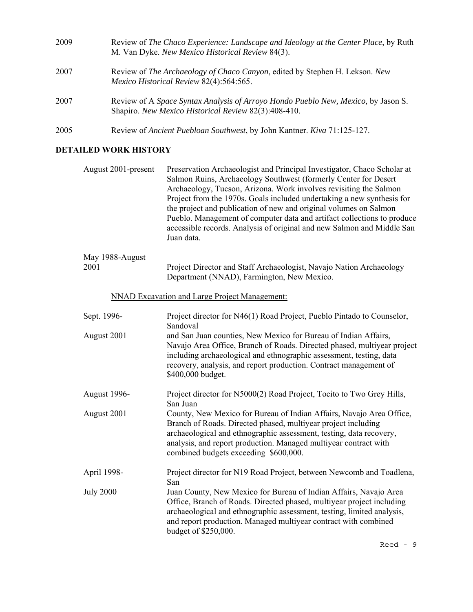| 2009 | Review of The Chaco Experience: Landscape and Ideology at the Center Place, by Ruth<br>M. Van Dyke. New Mexico Historical Review 84(3).   |
|------|-------------------------------------------------------------------------------------------------------------------------------------------|
| 2007 | Review of <i>The Archaeology of Chaco Canyon</i> , edited by Stephen H. Lekson. New<br>Mexico Historical Review 82(4):564:565.            |
| 2007 | Review of A Space Syntax Analysis of Arroyo Hondo Pueblo New, Mexico, by Jason S.<br>Shapiro. New Mexico Historical Review 82(3):408-410. |
| 2005 | Review of Ancient Puebloan Southwest, by John Kantner. Kiva 71:125-127.                                                                   |

## **DETAILED WORK HISTORY**

| August 2001-present     | Preservation Archaeologist and Principal Investigator, Chaco Scholar at<br>Salmon Ruins, Archaeology Southwest (formerly Center for Desert<br>Archaeology, Tucson, Arizona. Work involves revisiting the Salmon<br>Project from the 1970s. Goals included undertaking a new synthesis for<br>the project and publication of new and original volumes on Salmon<br>Pueblo. Management of computer data and artifact collections to produce<br>accessible records. Analysis of original and new Salmon and Middle San<br>Juan data. |
|-------------------------|-----------------------------------------------------------------------------------------------------------------------------------------------------------------------------------------------------------------------------------------------------------------------------------------------------------------------------------------------------------------------------------------------------------------------------------------------------------------------------------------------------------------------------------|
| May 1988-August<br>2001 | Project Director and Staff Archaeologist, Navajo Nation Archaeology<br>Department (NNAD), Farmington, New Mexico.                                                                                                                                                                                                                                                                                                                                                                                                                 |
|                         | <b>NNAD Excavation and Large Project Management:</b>                                                                                                                                                                                                                                                                                                                                                                                                                                                                              |
| Sept. 1996-             | Project director for N46(1) Road Project, Pueblo Pintado to Counselor,<br>Sandoval                                                                                                                                                                                                                                                                                                                                                                                                                                                |
| August 2001             | and San Juan counties, New Mexico for Bureau of Indian Affairs,<br>Navajo Area Office, Branch of Roads. Directed phased, multiyear project<br>including archaeological and ethnographic assessment, testing, data<br>recovery, analysis, and report production. Contract management of<br>\$400,000 budget.                                                                                                                                                                                                                       |
| August 1996-            | Project director for N5000(2) Road Project, Tocito to Two Grey Hills,<br>San Juan                                                                                                                                                                                                                                                                                                                                                                                                                                                 |
| August 2001             | County, New Mexico for Bureau of Indian Affairs, Navajo Area Office,<br>Branch of Roads. Directed phased, multiyear project including<br>archaeological and ethnographic assessment, testing, data recovery,<br>analysis, and report production. Managed multiyear contract with<br>combined budgets exceeding \$600,000.                                                                                                                                                                                                         |
| April 1998-             | Project director for N19 Road Project, between Newcomb and Toadlena,<br>San                                                                                                                                                                                                                                                                                                                                                                                                                                                       |
| <b>July 2000</b>        | Juan County, New Mexico for Bureau of Indian Affairs, Navajo Area<br>Office, Branch of Roads. Directed phased, multiyear project including<br>archaeological and ethnographic assessment, testing, limited analysis,<br>and report production. Managed multiyear contract with combined<br>budget of \$250,000.                                                                                                                                                                                                                   |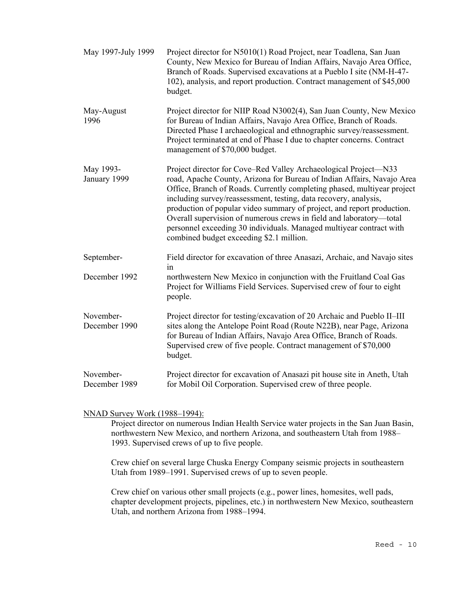| May 1997-July 1999         | Project director for N5010(1) Road Project, near Toadlena, San Juan<br>County, New Mexico for Bureau of Indian Affairs, Navajo Area Office,<br>Branch of Roads. Supervised excavations at a Pueblo I site (NM-H-47-<br>102), analysis, and report production. Contract management of \$45,000<br>budget.                                                                                                                                                                                                                                                     |
|----------------------------|--------------------------------------------------------------------------------------------------------------------------------------------------------------------------------------------------------------------------------------------------------------------------------------------------------------------------------------------------------------------------------------------------------------------------------------------------------------------------------------------------------------------------------------------------------------|
| May-August<br>1996         | Project director for NIIP Road N3002(4), San Juan County, New Mexico<br>for Bureau of Indian Affairs, Navajo Area Office, Branch of Roads.<br>Directed Phase I archaeological and ethnographic survey/reassessment.<br>Project terminated at end of Phase I due to chapter concerns. Contract<br>management of \$70,000 budget.                                                                                                                                                                                                                              |
| May 1993-<br>January 1999  | Project director for Cove–Red Valley Archaeological Project–N33<br>road, Apache County, Arizona for Bureau of Indian Affairs, Navajo Area<br>Office, Branch of Roads. Currently completing phased, multiyear project<br>including survey/reassessment, testing, data recovery, analysis,<br>production of popular video summary of project, and report production.<br>Overall supervision of numerous crews in field and laboratory—total<br>personnel exceeding 30 individuals. Managed multiyear contract with<br>combined budget exceeding \$2.1 million. |
| September-                 | Field director for excavation of three Anasazi, Archaic, and Navajo sites<br>in                                                                                                                                                                                                                                                                                                                                                                                                                                                                              |
| December 1992              | northwestern New Mexico in conjunction with the Fruitland Coal Gas<br>Project for Williams Field Services. Supervised crew of four to eight<br>people.                                                                                                                                                                                                                                                                                                                                                                                                       |
| November-<br>December 1990 | Project director for testing/excavation of 20 Archaic and Pueblo II-III<br>sites along the Antelope Point Road (Route N22B), near Page, Arizona<br>for Bureau of Indian Affairs, Navajo Area Office, Branch of Roads.<br>Supervised crew of five people. Contract management of \$70,000<br>budget.                                                                                                                                                                                                                                                          |
| November-<br>December 1989 | Project director for excavation of Anasazi pit house site in Aneth, Utah<br>for Mobil Oil Corporation. Supervised crew of three people.                                                                                                                                                                                                                                                                                                                                                                                                                      |

#### NNAD Survey Work (1988–1994):

Project director on numerous Indian Health Service water projects in the San Juan Basin, northwestern New Mexico, and northern Arizona, and southeastern Utah from 1988– 1993. Supervised crews of up to five people.

Crew chief on several large Chuska Energy Company seismic projects in southeastern Utah from 1989–1991. Supervised crews of up to seven people.

Crew chief on various other small projects (e.g., power lines, homesites, well pads, chapter development projects, pipelines, etc.) in northwestern New Mexico, southeastern Utah, and northern Arizona from 1988–1994.